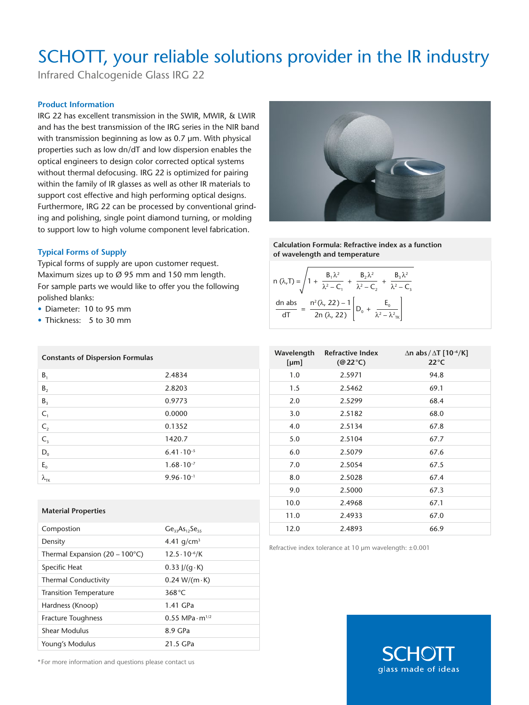### SCHOTT, your reliable solutions provider in the IR industry

Infrared Chalcogenide Glass IRG 22

### **Product Information**

IRG 22 has excellent transmission in the SWIR, MWIR, & LWIR and has the best transmission of the IRG series in the NIR band with transmission beginning as low as 0.7 μm. With physical properties such as low dn/dT and low dispersion enables the optical engineers to design color corrected optical systems without thermal defocusing. IRG 22 is optimized for pairing within the family of IR glasses as well as other IR materials to support cost effective and high performing optical designs. Furthermore, IRG 22 can be processed by conventional grinding and polishing, single point diamond turning, or molding to support low to high volume component level fabrication.

#### **Typical Forms of Supply**

Typical forms of supply are upon customer request. Maximum sizes up to Ø 95 mm and 150 mm length. For sample parts we would like to offer you the following polished blanks:

- Diameter: 10 to 95 mm
- Thickness: 5 to 30 mm

**Material Properties**

**Constants of Dispersion Formulas**

 $B_1$  2.4834  $B<sub>2</sub>$  2.8203  $B_3$  0.9773  $C_1$  0.0000  $C_2$  0.1352  $C_3$  1420.7  $D_0$  6.41 · 10<sup>-5</sup>  $E_0$  1.68 · 10<sup>-7</sup>  $\lambda_{TK}$  9.96  $\cdot$  10<sup>-1</sup>

**Calculation Formula: Refractive index as a function of wavelength and temperature** n ( $\lambda$ ,T) =  $\left(1 + \frac{B_1 \lambda^2}{2} \right)$  $\frac{B_1\lambda^2}{\lambda^2-C_1}$  +  $\frac{B_2\lambda^2}{\lambda^2-C_2}$  +  $\frac{B_3\lambda^2}{\lambda^2-C_3}$ dn abs =  $\frac{n^2(\lambda, 22) - 1}{2n (\lambda, 22)} D_0 + \frac{E_0}{\lambda^2 - \lambda^2 \tau_k}$ 

| Wavelength<br>[µm] | <b>Refractive Index</b><br>$(\textcircled{a}22^{\circ}\text{C})$ | $\Delta$ n abs / $\Delta T$ [10 <sup>-6</sup> /K]<br>$22^{\circ}$ C |
|--------------------|------------------------------------------------------------------|---------------------------------------------------------------------|
| 1.0                | 2.5971                                                           | 94.8                                                                |
| 1.5                | 2.5462                                                           | 69.1                                                                |
| 2.0                | 2.5299                                                           | 68.4                                                                |
| 3.0                | 2.5182                                                           | 68.0                                                                |
| 4.0                | 2.5134                                                           | 67.8                                                                |
| 5.0                | 2.5104                                                           | 67.7                                                                |
| 6.0                | 2.5079                                                           | 67.6                                                                |
| 7.0                | 2.5054                                                           | 67.5                                                                |
| 8.0                | 2.5028                                                           | 67.4                                                                |
| 9.0                | 2.5000                                                           | 67.3                                                                |
| 10.0               | 2.4968                                                           | 67.1                                                                |
| 11.0               | 2.4933                                                           | 67.0                                                                |
| 12.0               | 2.4893                                                           | 66.9                                                                |

Refractive index tolerance at 10 µm wavelength: ±0.001

| Compostion                                | $Ge_{33}As_{12}Se_{55}$             |
|-------------------------------------------|-------------------------------------|
| Density                                   | 4.41 $q/cm^3$                       |
| Thermal Expansion (20 – 100 $^{\circ}$ C) | $12.5 \cdot 10^{-6}$ /K             |
| Specific Heat                             | $0.33$ J/(q $\cdot$ K)              |
| <b>Thermal Conductivity</b>               | $0.24 W/(m \cdot K)$                |
| <b>Transition Temperature</b>             | $368^{\circ}$ C                     |
| Hardness (Knoop)                          | 1.41 GPa                            |
| <b>Fracture Toughness</b>                 | $0.55$ MPa $\cdot$ m <sup>1/2</sup> |
| Shear Modulus                             | 8.9 GPa                             |
| Young's Modulus                           | 21.5 GPa                            |

\* For more information and questions please contact us



# glass made of ideas